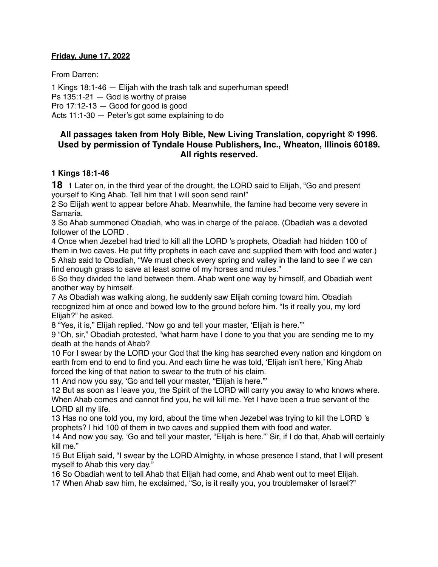### **Friday, June 17, 2022**

From Darren:

1 Kings 18:1-46 — Elijah with the trash talk and superhuman speed! Ps 135:1-21 — God is worthy of praise Pro 17:12-13 — Good for good is good Acts 11:1-30 — Peter's got some explaining to do

## **All passages taken from Holy Bible, [New Living Translation](http://www.newlivingtranslation.com/), copyright © 1996. Used by permission of [Tyndale House Publishers](http://tyndale.com/), Inc., Wheaton, Illinois 60189. All rights reserved.**

### **1 Kings 18:1-46**

**18** 1 Later on, in the third year of the drought, the LORD said to Elijah, "Go and present yourself to King Ahab. Tell him that I will soon send rain!"

2 So Elijah went to appear before Ahab. Meanwhile, the famine had become very severe in Samaria.

3 So Ahab summoned Obadiah, who was in charge of the palace. (Obadiah was a devoted follower of the LORD .

4 Once when Jezebel had tried to kill all the LORD 's prophets, Obadiah had hidden 100 of them in two caves. He put fifty prophets in each cave and supplied them with food and water.) 5 Ahab said to Obadiah, "We must check every spring and valley in the land to see if we can find enough grass to save at least some of my horses and mules."

6 So they divided the land between them. Ahab went one way by himself, and Obadiah went another way by himself.

7 As Obadiah was walking along, he suddenly saw Elijah coming toward him. Obadiah recognized him at once and bowed low to the ground before him. "Is it really you, my lord Elijah?" he asked.

8 "Yes, it is," Elijah replied. "Now go and tell your master, 'Elijah is here.'"

9 "Oh, sir," Obadiah protested, "what harm have I done to you that you are sending me to my death at the hands of Ahab?

10 For I swear by the LORD your God that the king has searched every nation and kingdom on earth from end to end to find you. And each time he was told, 'Elijah isn't here,' King Ahab forced the king of that nation to swear to the truth of his claim.

11 And now you say, 'Go and tell your master, "Elijah is here."'

12 But as soon as I leave you, the Spirit of the LORD will carry you away to who knows where. When Ahab comes and cannot find you, he will kill me. Yet I have been a true servant of the LORD all my life.

13 Has no one told you, my lord, about the time when Jezebel was trying to kill the LORD 's prophets? I hid 100 of them in two caves and supplied them with food and water.

14 And now you say, 'Go and tell your master, "Elijah is here."' Sir, if I do that, Ahab will certainly kill me."

15 But Elijah said, "I swear by the LORD Almighty, in whose presence I stand, that I will present myself to Ahab this very day."

16 So Obadiah went to tell Ahab that Elijah had come, and Ahab went out to meet Elijah.

17 When Ahab saw him, he exclaimed, "So, is it really you, you troublemaker of Israel?"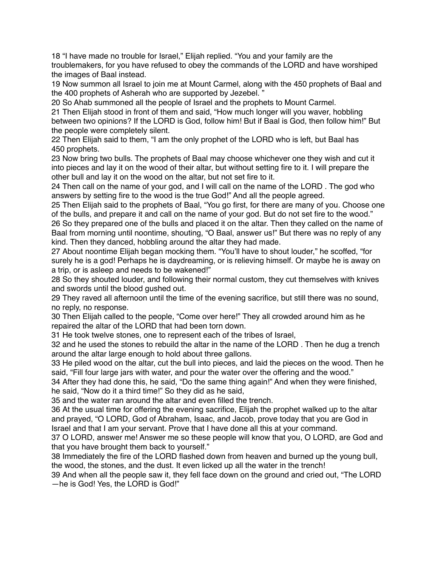18 "I have made no trouble for Israel," Elijah replied. "You and your family are the troublemakers, for you have refused to obey the commands of the LORD and have worshiped the images of Baal instead.

19 Now summon all Israel to join me at Mount Carmel, along with the 450 prophets of Baal and the 400 prophets of Asherah who are supported by Jezebel. "

20 So Ahab summoned all the people of Israel and the prophets to Mount Carmel.

21 Then Elijah stood in front of them and said, "How much longer will you waver, hobbling between two opinions? If the LORD is God, follow him! But if Baal is God, then follow him!" But the people were completely silent.

22 Then Elijah said to them, "I am the only prophet of the LORD who is left, but Baal has 450 prophets.

23 Now bring two bulls. The prophets of Baal may choose whichever one they wish and cut it into pieces and lay it on the wood of their altar, but without setting fire to it. I will prepare the other bull and lay it on the wood on the altar, but not set fire to it.

24 Then call on the name of your god, and I will call on the name of the LORD . The god who answers by setting fire to the wood is the true God!" And all the people agreed.

25 Then Elijah said to the prophets of Baal, "You go first, for there are many of you. Choose one of the bulls, and prepare it and call on the name of your god. But do not set fire to the wood."

26 So they prepared one of the bulls and placed it on the altar. Then they called on the name of Baal from morning until noontime, shouting, "O Baal, answer us!" But there was no reply of any kind. Then they danced, hobbling around the altar they had made.

27 About noontime Elijah began mocking them. "You'll have to shout louder," he scoffed, "for surely he is a god! Perhaps he is daydreaming, or is relieving himself. Or maybe he is away on a trip, or is asleep and needs to be wakened!"

28 So they shouted louder, and following their normal custom, they cut themselves with knives and swords until the blood gushed out.

29 They raved all afternoon until the time of the evening sacrifice, but still there was no sound, no reply, no response.

30 Then Elijah called to the people, "Come over here!" They all crowded around him as he repaired the altar of the LORD that had been torn down.

31 He took twelve stones, one to represent each of the tribes of Israel,

32 and he used the stones to rebuild the altar in the name of the LORD . Then he dug a trench around the altar large enough to hold about three gallons.

33 He piled wood on the altar, cut the bull into pieces, and laid the pieces on the wood. Then he said, "Fill four large jars with water, and pour the water over the offering and the wood."

34 After they had done this, he said, "Do the same thing again!" And when they were finished, he said, "Now do it a third time!" So they did as he said,

35 and the water ran around the altar and even filled the trench.

36 At the usual time for offering the evening sacrifice, Elijah the prophet walked up to the altar and prayed, "O LORD, God of Abraham, Isaac, and Jacob, prove today that you are God in Israel and that I am your servant. Prove that I have done all this at your command.

37 O LORD, answer me! Answer me so these people will know that you, O LORD, are God and that you have brought them back to yourself."

38 Immediately the fire of the LORD flashed down from heaven and burned up the young bull, the wood, the stones, and the dust. It even licked up all the water in the trench!

39 And when all the people saw it, they fell face down on the ground and cried out, "The LORD —he is God! Yes, the LORD is God!"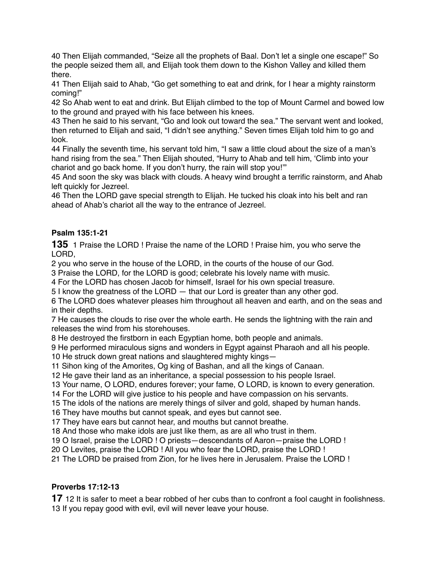Then Elijah commanded, "Seize all the prophets of Baal. Don't let a single one escape!" So the people seized them all, and Elijah took them down to the Kishon Valley and killed them there.

 Then Elijah said to Ahab, "Go get something to eat and drink, for I hear a mighty rainstorm coming!"

 So Ahab went to eat and drink. But Elijah climbed to the top of Mount Carmel and bowed low to the ground and prayed with his face between his knees.

 Then he said to his servant, "Go and look out toward the sea." The servant went and looked, then returned to Elijah and said, "I didn't see anything." Seven times Elijah told him to go and look.

 Finally the seventh time, his servant told him, "I saw a little cloud about the size of a man's hand rising from the sea." Then Elijah shouted, "Hurry to Ahab and tell him, 'Climb into your chariot and go back home. If you don't hurry, the rain will stop you!'"

 And soon the sky was black with clouds. A heavy wind brought a terrific rainstorm, and Ahab left quickly for Jezreel.

 Then the LORD gave special strength to Elijah. He tucked his cloak into his belt and ran ahead of Ahab's chariot all the way to the entrance of Jezreel.

# **Psalm 135:1-21**

1 Praise the LORD ! Praise the name of the LORD ! Praise him, you who serve the LORD,

you who serve in the house of the LORD, in the courts of the house of our God.

Praise the LORD, for the LORD is good; celebrate his lovely name with music.

For the LORD has chosen Jacob for himself, Israel for his own special treasure.

I know the greatness of the LORD — that our Lord is greater than any other god.

 The LORD does whatever pleases him throughout all heaven and earth, and on the seas and in their depths.

 He causes the clouds to rise over the whole earth. He sends the lightning with the rain and releases the wind from his storehouses.

He destroyed the firstborn in each Egyptian home, both people and animals.

He performed miraculous signs and wonders in Egypt against Pharaoh and all his people.

He struck down great nations and slaughtered mighty kings—

Sihon king of the Amorites, Og king of Bashan, and all the kings of Canaan.

He gave their land as an inheritance, a special possession to his people Israel.

Your name, O LORD, endures forever; your fame, O LORD, is known to every generation.

For the LORD will give justice to his people and have compassion on his servants.

The idols of the nations are merely things of silver and gold, shaped by human hands.

They have mouths but cannot speak, and eyes but cannot see.

They have ears but cannot hear, and mouths but cannot breathe.

And those who make idols are just like them, as are all who trust in them.

O Israel, praise the LORD ! O priests—descendants of Aaron—praise the LORD !

O Levites, praise the LORD ! All you who fear the LORD, praise the LORD !

The LORD be praised from Zion, for he lives here in Jerusalem. Praise the LORD !

## **Proverbs 17:12-13**

12 It is safer to meet a bear robbed of her cubs than to confront a fool caught in foolishness. If you repay good with evil, evil will never leave your house.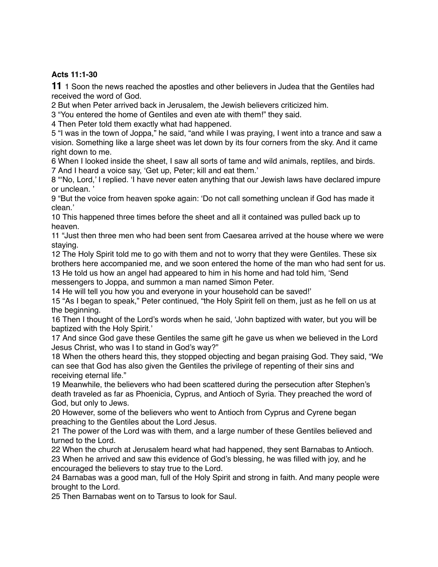## **Acts 11:1-30**

**11** 1 Soon the news reached the apostles and other believers in Judea that the Gentiles had received the word of God.

2 But when Peter arrived back in Jerusalem, the Jewish believers criticized him.

3 "You entered the home of Gentiles and even ate with them!" they said.

4 Then Peter told them exactly what had happened.

5 "I was in the town of Joppa," he said, "and while I was praying, I went into a trance and saw a vision. Something like a large sheet was let down by its four corners from the sky. And it came right down to me.

6 When I looked inside the sheet, I saw all sorts of tame and wild animals, reptiles, and birds. 7 And I heard a voice say, 'Get up, Peter; kill and eat them.'

8 "'No, Lord,' I replied. 'I have never eaten anything that our Jewish laws have declared impure or unclean. '

9 "But the voice from heaven spoke again: 'Do not call something unclean if God has made it clean.'

10 This happened three times before the sheet and all it contained was pulled back up to heaven.

11 "Just then three men who had been sent from Caesarea arrived at the house where we were staying.

12 The Holy Spirit told me to go with them and not to worry that they were Gentiles. These six brothers here accompanied me, and we soon entered the home of the man who had sent for us. 13 He told us how an angel had appeared to him in his home and had told him, 'Send

messengers to Joppa, and summon a man named Simon Peter.

14 He will tell you how you and everyone in your household can be saved!'

15 "As I began to speak," Peter continued, "the Holy Spirit fell on them, just as he fell on us at the beginning.

16 Then I thought of the Lord's words when he said, 'John baptized with water, but you will be baptized with the Holy Spirit.'

17 And since God gave these Gentiles the same gift he gave us when we believed in the Lord Jesus Christ, who was I to stand in God's way?"

18 When the others heard this, they stopped objecting and began praising God. They said, "We can see that God has also given the Gentiles the privilege of repenting of their sins and receiving eternal life."

19 Meanwhile, the believers who had been scattered during the persecution after Stephen's death traveled as far as Phoenicia, Cyprus, and Antioch of Syria. They preached the word of God, but only to Jews.

20 However, some of the believers who went to Antioch from Cyprus and Cyrene began preaching to the Gentiles about the Lord Jesus.

21 The power of the Lord was with them, and a large number of these Gentiles believed and turned to the Lord.

22 When the church at Jerusalem heard what had happened, they sent Barnabas to Antioch. 23 When he arrived and saw this evidence of God's blessing, he was filled with joy, and he encouraged the believers to stay true to the Lord.

24 Barnabas was a good man, full of the Holy Spirit and strong in faith. And many people were brought to the Lord.

25 Then Barnabas went on to Tarsus to look for Saul.